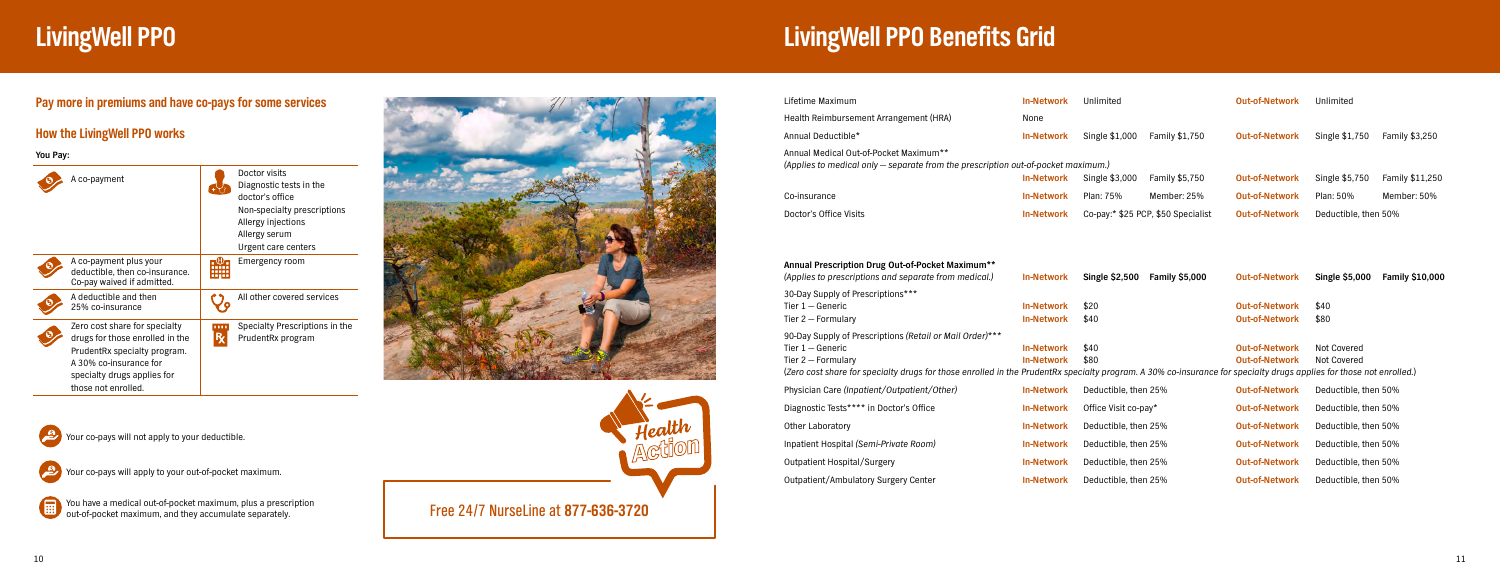## **LivingWell PPO Benefits Grid**

| Lifetime Maximum                                                                                                                                                                                                                                                              | <b>In-Network</b>                      | Unlimited                          |                       | <b>Out-of-Network</b>                          | Unlimited                         |                        |
|-------------------------------------------------------------------------------------------------------------------------------------------------------------------------------------------------------------------------------------------------------------------------------|----------------------------------------|------------------------------------|-----------------------|------------------------------------------------|-----------------------------------|------------------------|
| Health Reimbursement Arrangement (HRA)                                                                                                                                                                                                                                        | None                                   |                                    |                       |                                                |                                   |                        |
| Annual Deductible*                                                                                                                                                                                                                                                            | <b>In-Network</b>                      | Single \$1,000                     | Family \$1,750        | <b>Out-of-Network</b>                          | Single \$1,750                    | Family \$3,250         |
| Annual Medical Out-of-Pocket Maximum**<br>(Applies to medical only – separate from the prescription out-of-pocket maximum.)                                                                                                                                                   | <b>In-Network</b>                      | Single \$3,000                     | Family \$5,750        | <b>Out-of-Network</b>                          | Single \$5,750                    | Family \$11,250        |
| Co-insurance                                                                                                                                                                                                                                                                  | <b>In-Network</b>                      | Plan: 75%                          | Member: 25%           | <b>Out-of-Network</b>                          | Plan: 50%                         | Member: 50%            |
| Doctor's Office Visits                                                                                                                                                                                                                                                        | <b>In-Network</b>                      | Co-pay:* \$25 PCP, \$50 Specialist |                       | <b>Out-of-Network</b>                          | Deductible, then 50%              |                        |
| Annual Prescription Drug Out-of-Pocket Maximum**<br>(Applies to prescriptions and separate from medical.)                                                                                                                                                                     | <b>In-Network</b>                      | <b>Single \$2,500</b>              | <b>Family \$5,000</b> | <b>Out-of-Network</b>                          | <b>Single \$5,000</b>             | <b>Family \$10,000</b> |
| 30-Day Supply of Prescriptions***<br>Tier $1 -$ Generic<br>Tier $2$ – Formulary                                                                                                                                                                                               | <b>In-Network</b><br><b>In-Network</b> | \$20<br>\$40                       |                       | <b>Out-of-Network</b><br><b>Out-of-Network</b> | \$40<br>\$80                      |                        |
| 90-Day Supply of Prescriptions (Retail or Mail Order)***<br>Tier $1 -$ Generic<br>Tier $2$ – Formulary<br>(Zero cost share for specialty drugs for those enrolled in the PrudentRx specialty program. A 30% co-insurance for specialty drugs applies for those not enrolled.) | <b>In-Network</b><br><b>In-Network</b> | \$40<br>\$80                       |                       | <b>Out-of-Network</b><br><b>Out-of-Network</b> | Not Covered<br><b>Not Covered</b> |                        |
| Physician Care (Inpatient/Outpatient/Other)                                                                                                                                                                                                                                   | <b>In-Network</b>                      | Deductible, then 25%               |                       | <b>Out-of-Network</b>                          | Deductible, then 50%              |                        |
| Diagnostic Tests**** in Doctor's Office                                                                                                                                                                                                                                       | <b>In-Network</b>                      | Office Visit co-pay*               |                       | <b>Out-of-Network</b>                          | Deductible, then 50%              |                        |
| <b>Other Laboratory</b>                                                                                                                                                                                                                                                       | <b>In-Network</b>                      | Deductible, then 25%               |                       | <b>Out-of-Network</b>                          | Deductible, then 50%              |                        |
| Inpatient Hospital (Semi-Private Room)                                                                                                                                                                                                                                        | <b>In-Network</b>                      | Deductible, then 25%               |                       | <b>Out-of-Network</b>                          | Deductible, then 50%              |                        |
| Outpatient Hospital/Surgery                                                                                                                                                                                                                                                   | <b>In-Network</b>                      | Deductible, then 25%               |                       | <b>Out-of-Network</b>                          | Deductible, then 50%              |                        |
| Outpatient/Ambulatory Surgery Center                                                                                                                                                                                                                                          | <b>In-Network</b>                      | Deductible, then 25%               |                       | <b>Out-of-Network</b>                          | Deductible, then 50%              |                        |